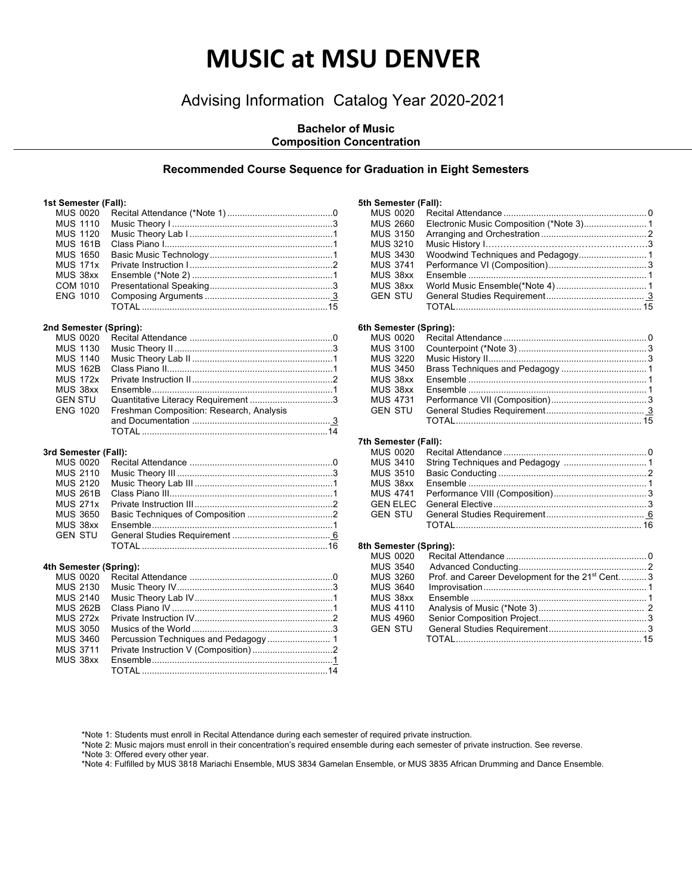# **MUSIC at MSU DENVER**

## Advising Information Catalog Year 2020-2021

#### **Bachelor of Music Composition Concentration**

#### **Recommended Course Sequence for Graduation in Eight Semesters**

#### **1st Semester (Fall):**

| <b>MUS 0020</b> |  |
|-----------------|--|
| <b>MUS 1110</b> |  |
| <b>MUS 1120</b> |  |
| <b>MUS 161B</b> |  |
| <b>MUS 1650</b> |  |
| <b>MUS 171x</b> |  |
| MUS 38xx        |  |
| COM 1010        |  |
| <b>ENG 1010</b> |  |
|                 |  |
|                 |  |

#### **2nd Semester (Spring):**

| <b>MUS 0020</b> |                                          |  |
|-----------------|------------------------------------------|--|
| <b>MUS 1130</b> |                                          |  |
| <b>MUS 1140</b> |                                          |  |
| <b>MUS 162B</b> |                                          |  |
| <b>MUS 172x</b> |                                          |  |
| MUS 38xx        |                                          |  |
| <b>GEN STU</b>  |                                          |  |
| <b>ENG 1020</b> | Freshman Composition: Research, Analysis |  |
|                 |                                          |  |
|                 |                                          |  |
|                 |                                          |  |

#### **3rd Semester (Fall):**

| MUS 3650 |  |
|----------|--|
|          |  |
|          |  |
|          |  |
|          |  |

#### **4th Semester (Spring):**

| MUS 0020        |  |
|-----------------|--|
| <b>MUS 2130</b> |  |
| <b>MUS 2140</b> |  |
| <b>MUS 262B</b> |  |
| <b>MUS 272x</b> |  |
| <b>MUS 3050</b> |  |
| <b>MUS 3460</b> |  |
| <b>MUS 3711</b> |  |
| MUS 38xx        |  |
|                 |  |

#### **5th Semester (Fall):** MUS 0020 Recital Attendance ......................................................... 0 MUS 2660 Electronic Music Composition (\*Note 3)......................... 1 MUS 3150 Arranging and Orchestration .......................................... 2 MUS 3210 Music History I………………………………………………3 Woodwind Techniques and Pedagogy............................. 1 MUS 3741 Performance VI (Composition)....................................... 3 MUS 38xx Ensemble ....................................................................... 1 MUS 38xx World Music Ensemble(\*Note 4).................................... 1 GEN STU General Studies Requirement....................................... 3 TOTAL.......................................................................... 15 **6th Semester (Spring):** MUS 0020 Recital Attendance ......................................................... 0

#### MUS 3100 Counterpoint (\*Note 3) ................................................... 3 MUS 3220 Music History II............................................................... 3 MUS 3450 Brass Techniques and Pedagogy .................................. 1 MUS 38xx Ensemble ....................................................................... 1 MUS 38xx Ensemble ....................................................................... 1 MUS 4731 Performance VII (Composition)...................................... 3 GEN STU General Studies Requirement....................................... 3 TOTAL.......................................................................... 15

#### **7th Semester (Fall):**

| MUS 3510 |  |
|----------|--|
|          |  |
|          |  |
|          |  |
|          |  |
|          |  |

#### **8th Semester (Spring):**

| MUS 0020        |                                                             |  |
|-----------------|-------------------------------------------------------------|--|
| <b>MUS 3540</b> |                                                             |  |
| MUS 3260        | Prof. and Career Development for the 21 <sup>st</sup> Cent3 |  |
| <b>MUS 3640</b> |                                                             |  |
| MUS 38xx        |                                                             |  |
| <b>MUS 4110</b> |                                                             |  |
| <b>MUS 4960</b> |                                                             |  |
| <b>GEN STU</b>  |                                                             |  |
|                 |                                                             |  |
|                 |                                                             |  |

\*Note 1: Students must enroll in Recital Attendance during each semester of required private instruction.

\*Note 2: Music majors must enroll in their concentration's required ensemble during each semester of private instruction. See reverse.

\*Note 3: Offered every other year.

\*Note 4: Fulfilled by MUS 3818 Mariachi Ensemble, MUS 3834 Gamelan Ensemble, or MUS 3835 African Drumming and Dance Ensemble.